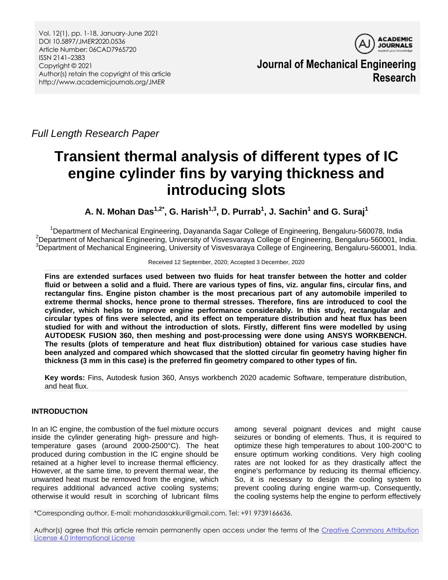

**Journal of Mechanical Engineering Research**

*Full Length Research Paper*

# **Transient thermal analysis of different types of IC engine cylinder fins by varying thickness and introducing slots**

**A. N. Mohan Das1,2\*, G. Harish1,3, D. Purrab<sup>1</sup> , J. Sachin<sup>1</sup> and G. Suraj<sup>1</sup>**

<sup>1</sup>Department of Mechanical Engineering, Dayananda Sagar College of Engineering, Bengaluru-560078, India  $^{2}$ Department of Mechanical Engineering, University of Visvesvaraya College of Engineering, Bengaluru-560001, India. <sup>3</sup>Department of Mechanical Engineering, University of Visvesvaraya College of Engineering, Bengaluru-560001, India.

Received 12 September, 2020; Accepted 3 December, 2020

**Fins are extended surfaces used between two fluids for heat transfer between the hotter and colder fluid or between a solid and a fluid. There are various types of fins, viz. angular fins, circular fins, and rectangular fins. Engine piston chamber is the most precarious part of any automobile imperiled to extreme thermal shocks, hence prone to thermal stresses. Therefore, fins are introduced to cool the cylinder, which helps to improve engine performance considerably. In this study, rectangular and circular types of fins were selected, and its effect on temperature distribution and heat flux has been studied for with and without the introduction of slots. Firstly, different fins were modelled by using AUTODESK FUSION 360, then meshing and post-processing were done using ANSYS WORKBENCH. The results (plots of temperature and heat flux distribution) obtained for various case studies have been analyzed and compared which showcased that the slotted circular fin geometry having higher fin thickness (3 mm in this case) is the preferred fin geometry compared to other types of fin.** 

**Key words:** Fins, Autodesk fusion 360, Ansys workbench 2020 academic Software, temperature distribution, and heat flux.

# **INTRODUCTION**

In an IC engine, the combustion of the fuel mixture occurs inside the cylinder generating high- pressure and hightemperature gases (around 2000-2500°C). The heat produced during combustion in the IC engine should be retained at a higher level to increase thermal efficiency. However, at the same time, to prevent thermal wear, the unwanted heat must be removed from the engine, which requires additional advanced active cooling systems; otherwise it would result in scorching of lubricant films

among several poignant devices and might cause seizures or bonding of elements. Thus, it is required to optimize these high temperatures to about 100-200°C to ensure optimum working conditions. Very high cooling rates are not looked for as they drastically affect the engine's performance by reducing its thermal efficiency. So, it is necessary to design the cooling system to prevent cooling during engine warm-up. Consequently, the cooling systems help the engine to perform effectively

\*Corresponding author. E-mail: mohandasakkur@gmail.com. Tel: +91 9739166636.

Author(s) agree that this article remain permanently open access under the terms of the [Creative Commons Attribution](http://creativecommons.org/licenses/by/4.0/deed.en_US)  [License 4.0 International License](http://creativecommons.org/licenses/by/4.0/deed.en_US)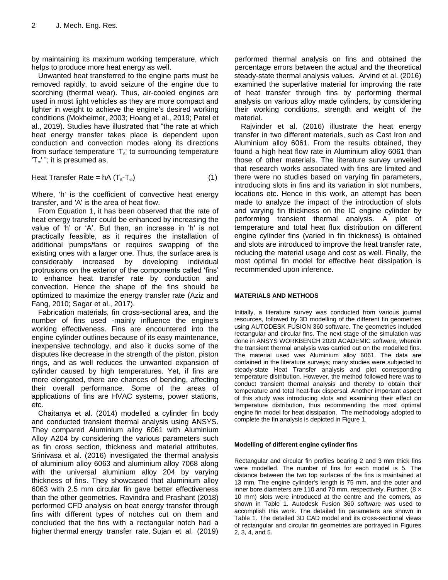by maintaining its maximum working temperature, which helps to produce more heat energy as well.

Unwanted heat transferred to the engine parts must be removed rapidly, to avoid seizure of the engine due to scorching (thermal wear). Thus, air-cooled engines are used in most light vehicles as they are more compact and lighter in weight to achieve the engine's desired working conditions (Mokheimer, 2003; Hoang et al., 2019; Patel et al., 2019). Studies have illustrated that "the rate at which heat energy transfer takes place is dependent upon conduction and convection modes along its directions from surface temperature  $T_s$ ' to surrounding temperature 'T∞' "; it is presumed as,

Heat Transfer Rate =  $hA(T_s-T_\infty)$  (1)

Where, 'h' is the coefficient of convective heat energy transfer, and 'A' is the area of heat flow.

From Equation 1, it has been observed that the rate of heat energy transfer could be enhanced by increasing the value of "h" or "A". But then, an increase in 'h' is not practically feasible, as it requires the installation of additional pumps/fans or requires swapping of the existing ones with a larger one. Thus, the surface area is considerably increased by developing individual protrusions on the exterior of the components called "fins" to enhance heat transfer rate by conduction and convection. Hence the shape of the fins should be optimized to maximize the energy transfer rate (Aziz and Fang, 2010; Sagar et al., 2017).

Fabrication materials, fin cross-sectional area, and the number of fins used -mainly influence the engine's working effectiveness. Fins are encountered into the engine cylinder outlines because of its easy maintenance, inexpensive technology, and also it ducks some of the disputes like decrease in the strength of the piston, piston rings, and as well reduces the unwanted expansion of cylinder caused by high temperatures. Yet, if fins are more elongated, there are chances of bending, affecting their overall performance. Some of the areas of applications of fins are HVAC systems, power stations, etc.

Chaitanya et al. (2014) modelled a cylinder fin body and conducted transient thermal analysis using ANSYS. They compared Aluminium alloy 6061 with Aluminium Alloy A204 by considering the various parameters such as fin cross section, thickness and material attributes. Srinivasa et al. (2016) investigated the thermal analysis of aluminium alloy 6063 and aluminium alloy 7068 along with the universal aluminium alloy 204 by varying thickness of fins. They showcased that aluminium alloy 6063 with 2.5 mm circular fin gave better effectiveness than the other geometries. Ravindra and Prashant (2018) performed CFD analysis on heat energy transfer through fins with different types of notches cut on them and concluded that the fins with a rectangular notch had a higher thermal energy transfer rate. Sujan et al. (2019) performed thermal analysis on fins and obtained the percentage errors between the actual and the theoretical steady-state thermal analysis values. Arvind et al. (2016) examined the superlative material for improving the rate of heat transfer through fins by performing thermal analysis on various alloy made cylinders, by considering their working conditions, strength and weight of the material.

Rajvinder et al. (2016) illustrate the heat energy transfer in two different materials, such as Cast Iron and Aluminium alloy 6061. From the results obtained, they found a high heat flow rate in Aluminium alloy 6061 than those of other materials. The literature survey unveiled that research works associated with fins are limited and there were no studies based on varying fin parameters, introducing slots in fins and its variation in slot numbers, locations etc. Hence in this work, an attempt has been made to analyze the impact of the introduction of slots and varying fin thickness on the IC engine cylinder by performing transient thermal analysis. A plot of temperature and total heat flux distribution on different engine cylinder fins (varied in fin thickness) is obtained and slots are introduced to improve the heat transfer rate, reducing the material usage and cost as well. Finally, the most optimal fin model for effective heat dissipation is recommended upon inference.

## **MATERIALS AND METHODS**

Initially, a literature survey was conducted from various journal resources, followed by 3D modelling of the different fin geometries using AUTODESK FUSION 360 software. The geometries included rectangular and circular fins. The next stage of the simulation was done in ANSYS WORKBENCH 2020 ACADEMIC software, wherein the transient thermal analysis was carried out on the modelled fins. The material used was Aluminium alloy 6061. The data are contained in the literature surveys; many studies were subjected to steady-state Heat Transfer analysis and plot corresponding temperature distribution. However, the method followed here was to conduct transient thermal analysis and thereby to obtain their temperature and total heat-flux dispersal. Another important aspect of this study was introducing slots and examining their effect on temperature distribution, thus recommending the most optimal engine fin model for heat dissipation. The methodology adopted to complete the fin analysis is depicted in Figure 1.

### **Modelling of different engine cylinder fins**

Rectangular and circular fin profiles bearing 2 and 3 mm thick fins were modelled. The number of fins for each model is 5. The distance between the two top surfaces of the fins is maintained at 13 mm. The engine cylinder's length is 75 mm, and the outer and inner bore diameters are 110 and 70 mm, respectively. Further, (8 x 10 mm) slots were introduced at the centre and the corners, as shown in Table 1. Autodesk Fusion 360 software was used to accomplish this work. The detailed fin parameters are shown in Table 1. The detailed 3D CAD model and its cross-sectional views of rectangular and circular fin geometries are portrayed in Figures 2, 3, 4, and 5.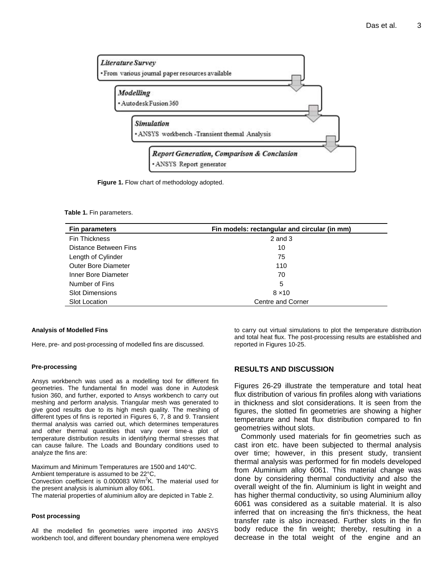

**Figure 1.** Flow chart of methodology adopted.

## **Table 1.** Fin parameters.

| <b>Fin parameters</b>      | Fin models: rectangular and circular (in mm) |  |  |
|----------------------------|----------------------------------------------|--|--|
| <b>Fin Thickness</b>       | $2$ and $3$                                  |  |  |
| Distance Between Fins      | 10                                           |  |  |
| Length of Cylinder         | 75                                           |  |  |
| <b>Outer Bore Diameter</b> | 110                                          |  |  |
| Inner Bore Diameter        | 70                                           |  |  |
| Number of Fins             | 5                                            |  |  |
| <b>Slot Dimensions</b>     | $8 \times 10$                                |  |  |
| <b>Slot Location</b>       | Centre and Corner                            |  |  |

#### **Analysis of Modelled Fins**

Here, pre- and post-processing of modelled fins are discussed.

#### **Pre-processing**

Ansys workbench was used as a modelling tool for different fin geometries. The fundamental fin model was done in Autodesk fusion 360, and further, exported to Ansys workbench to carry out meshing and perform analysis. Triangular mesh was generated to give good results due to its high mesh quality. The meshing of different types of fins is reported in Figures 6, 7, 8 and 9. Transient thermal analysis was carried out, which determines temperatures and other thermal quantities that vary over time-a plot of temperature distribution results in identifying thermal stresses that can cause failure. The Loads and Boundary conditions used to analyze the fins are:

Maximum and Minimum Temperatures are 1500 and 140°C.

Ambient temperature is assumed to be 22°C,

Convection coefficient is 0.000083 W/m<sup>2</sup>K. The material used for the present analysis is aluminium alloy 6061.

The material properties of aluminium alloy are depicted in Table 2.

#### **Post processing**

All the modelled fin geometries were imported into ANSYS workbench tool, and different boundary phenomena were employed to carry out virtual simulations to plot the temperature distribution and total heat flux. The post-processing results are established and reported in Figures 10-25.

## **RESULTS AND DISCUSSION**

Figures 26-29 illustrate the temperature and total heat flux distribution of various fin profiles along with variations in thickness and slot considerations. It is seen from the figures, the slotted fin geometries are showing a higher temperature and heat flux distribution compared to fin geometries without slots.

Commonly used materials for fin geometries such as cast iron etc. have been subjected to thermal analysis over time; however, in this present study, transient thermal analysis was performed for fin models developed from Aluminium alloy 6061. This material change was done by considering thermal conductivity and also the overall weight of the fin. Aluminium is light in weight and has higher thermal conductivity, so using Aluminium alloy 6061 was considered as a suitable material. It is also inferred that on increasing the fin's thickness, the heat transfer rate is also increased. Further slots in the fin body reduce the fin weight; thereby, resulting in a decrease in the total weight of the engine and an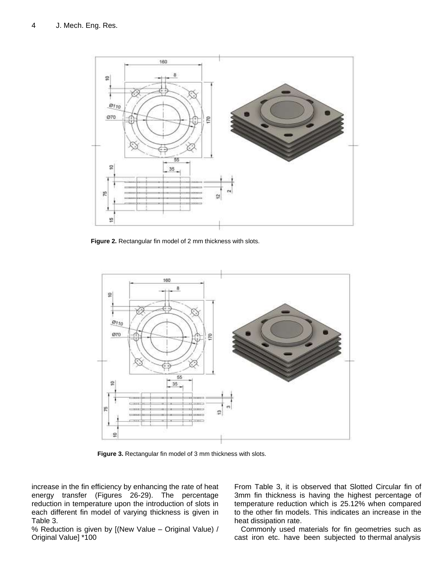

**Figure 2.** Rectangular fin model of 2 mm thickness with slots.



**Figure 3.** Rectangular fin model of 3 mm thickness with slots.

increase in the fin efficiency by enhancing the rate of heat energy transfer (Figures 26-29). The percentage reduction in temperature upon the introduction of slots in each different fin model of varying thickness is given in Table 3.

% Reduction is given by [(New Value – Original Value) / Original Value] \*100

From Table 3, it is observed that Slotted Circular fin of 3mm fin thickness is having the highest percentage of temperature reduction which is 25.12% when compared to the other fin models. This indicates an increase in the heat dissipation rate.

Commonly used materials for fin geometries such as cast iron etc. have been subjected to thermal analysis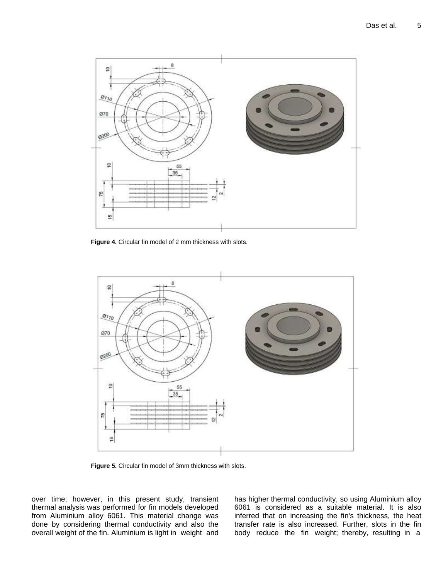

**Figure 4.** Circular fin model of 2 mm thickness with slots.



**Figure 5.** Circular fin model of 3mm thickness with slots.

over time; however, in this present study, transient thermal analysis was performed for fin models developed from Aluminium alloy 6061. This material change was done by considering thermal conductivity and also the overall weight of the fin. Aluminium is light in weight and has higher thermal conductivity, so using Aluminium alloy 6061 is considered as a suitable material. It is also inferred that on increasing the fin's thickness, the heat transfer rate is also increased. Further, slots in the fin body reduce the fin weight; thereby, resulting in a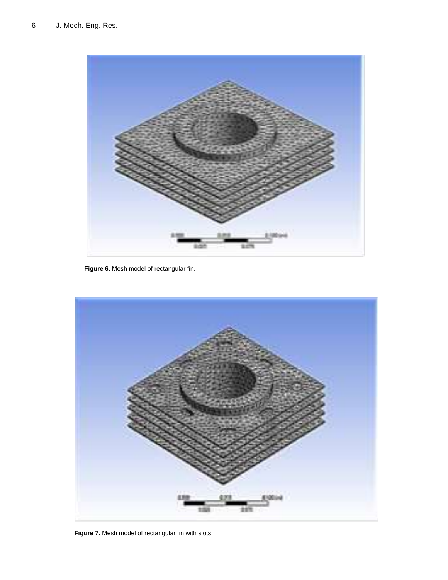

**Figure 6.** Mesh model of rectangular fin.



**Figure 7.** Mesh model of rectangular fin with slots.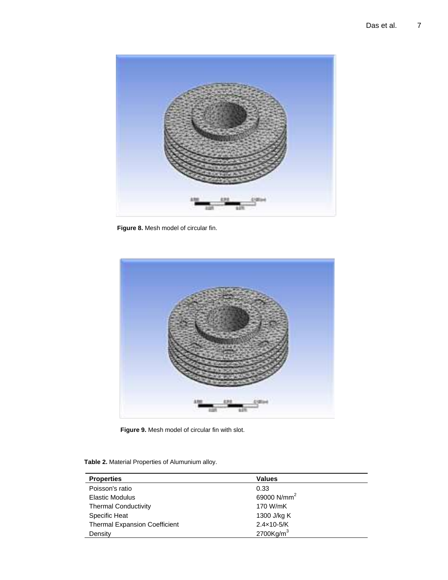

**Figure 8.** Mesh model of circular fin.



**Figure 9.** Mesh model of circular fin with slot.

**Table 2.** Material Properties of Alumunium alloy.

| <b>Properties</b>                    | <b>Values</b>            |
|--------------------------------------|--------------------------|
| Poisson's ratio                      | 0.33                     |
| <b>Elastic Modulus</b>               | 69000 N/mm <sup>2</sup>  |
| <b>Thermal Conductivity</b>          | 170 W/mK                 |
| Specific Heat                        | 1300 J/kg K              |
| <b>Thermal Expansion Coefficient</b> | $2.4 \times 10 - 5/K$    |
| Density                              | $2700$ Kg/m <sup>3</sup> |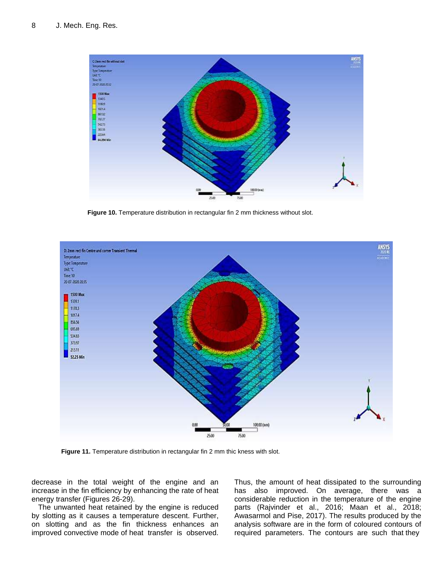

**Figure 10.** Temperature distribution in rectangular fin 2 mm thickness without slot.



**Figure 11.** Temperature distribution in rectangular fin 2 mm thic kness with slot.

decrease in the total weight of the engine and an increase in the fin efficiency by enhancing the rate of heat energy transfer (Figures 26-29).

The unwanted heat retained by the engine is reduced by slotting as it causes a temperature descent. Further, on slotting and as the fin thickness enhances an improved convective mode of heat transfer is observed.

Thus, the amount of heat dissipated to the surrounding has also improved. On average, there was a considerable reduction in the temperature of the engine parts (Rajvinder et al., 2016; Maan et al., 2018; Awasarmol and Pise, 2017). The results produced by the analysis software are in the form of coloured contours of required parameters. The contours are such that they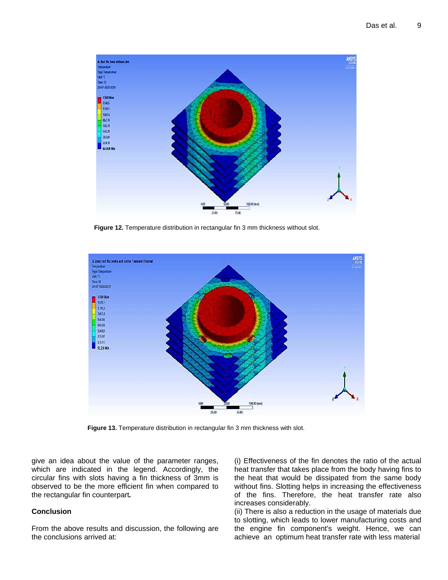

**Figure 12.** Temperature distribution in rectangular fin 3 mm thickness without slot.



**Figure 13.** Temperature distribution in rectangular fin 3 mm thickness with slot.

give an idea about the value of the parameter ranges, which are indicated in the legend. Accordingly, the circular fins with slots having a fin thickness of 3mm is observed to be the more efficient fin when compared to the rectangular fin counterpart*.*

# **Conclusion**

From the above results and discussion, the following are the conclusions arrived at:

(i) Effectiveness of the fin denotes the ratio of the actual heat transfer that takes place from the body having fins to the heat that would be dissipated from the same body without fins. Slotting helps in increasing the effectiveness of the fins. Therefore, the heat transfer rate also increases considerably.

(ii) There is also a reduction in the usage of materials due to slotting, which leads to lower manufacturing costs and the engine fin component's weight. Hence, we can achieve an optimum heat transfer rate with less material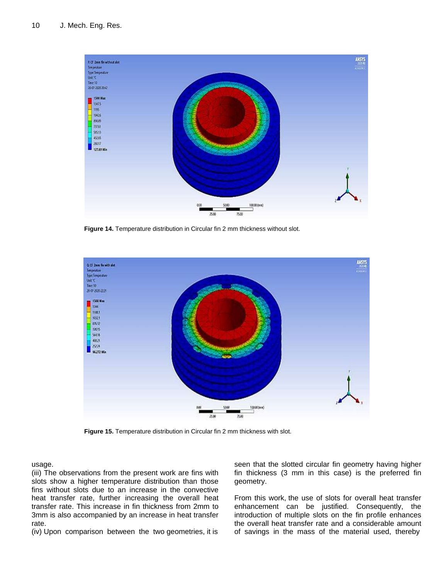

**Figure 14.** Temperature distribution in Circular fin 2 mm thickness without slot.



**Figure 15.** Temperature distribution in Circular fin 2 mm thickness with slot.

usage.

(iii) The observations from the present work are fins with slots show a higher temperature distribution than those fins without slots due to an increase in the convective heat transfer rate, further increasing the overall heat transfer rate. This increase in fin thickness from 2mm to 3mm is also accompanied by an increase in heat transfer rate.

(iv) Upon comparison between the two geometries, it is

seen that the slotted circular fin geometry having higher fin thickness (3 mm in this case) is the preferred fin geometry.

From this work, the use of slots for overall heat transfer enhancement can be justified. Consequently, the introduction of multiple slots on the fin profile enhances the overall heat transfer rate and a considerable amount of savings in the mass of the material used, thereby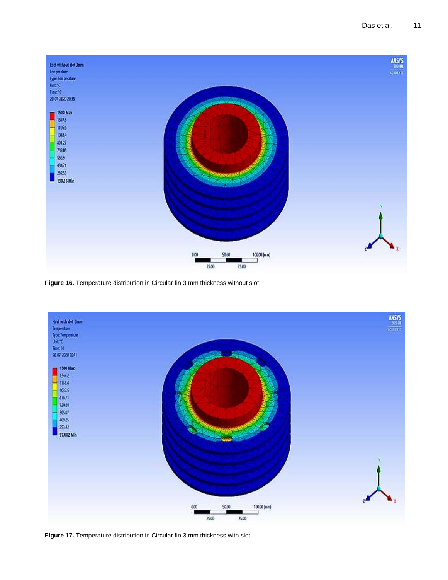

**Figure 16.** Temperature distribution in Circular fin 3 mm thickness without slot.



**Figure 17.** Temperature distribution in Circular fin 3 mm thickness with slot.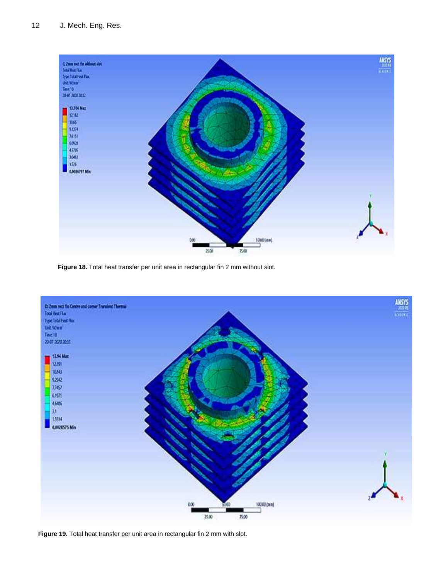

**Figure 18.** Total heat transfer per unit area in rectangular fin 2 mm without slot.



**Figure 19.** Total heat transfer per unit area in rectangular fin 2 mm with slot.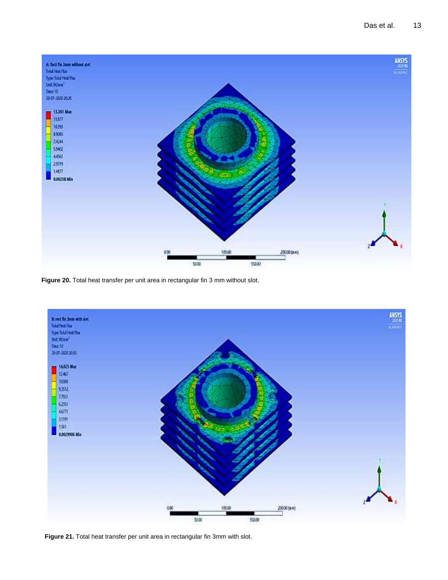

**Figure 20.** Total heat transfer per unit area in rectangular fin 3 mm without slot.



**Figure 21.** Total heat transfer per unit area in rectangular fin 3mm with slot.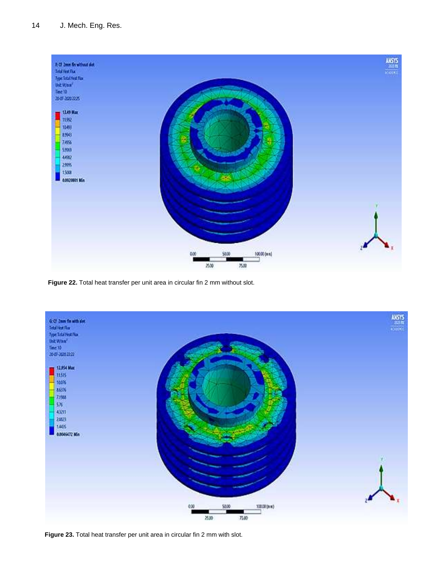

**Figure 22.** Total heat transfer per unit area in circular fin 2 mm without slot.



**Figure 23.** Total heat transfer per unit area in circular fin 2 mm with slot.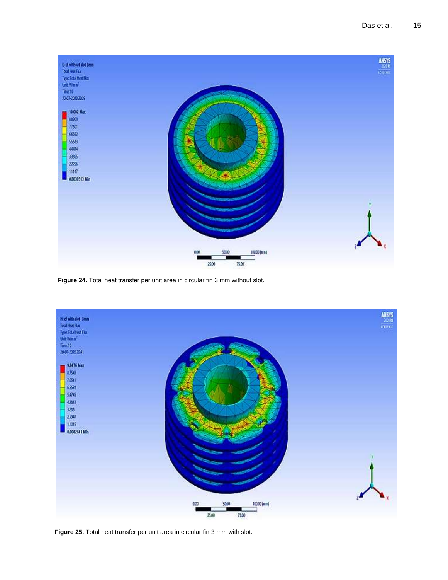

**Figure 24.** Total heat transfer per unit area in circular fin 3 mm without slot.



**Figure 25.** Total heat transfer per unit area in circular fin 3 mm with slot.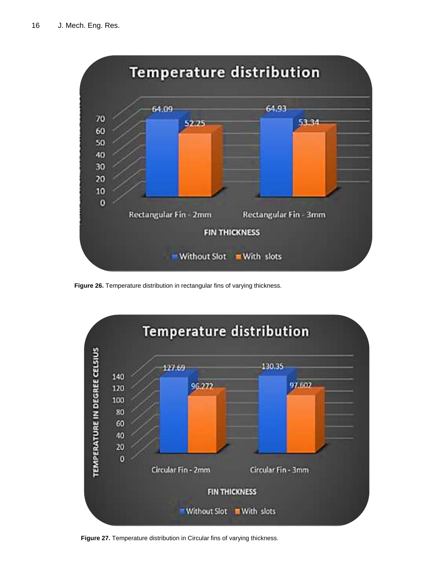

**Figure 26.** Temperature distribution in rectangular fins of varying thickness. 1 **Results and discussions**



Figure 27. Temperature distribution in Circular fins of varying thickness. *Figure 28. <i>Photograph* 28. *Photographer in Circular fins Criticitying information*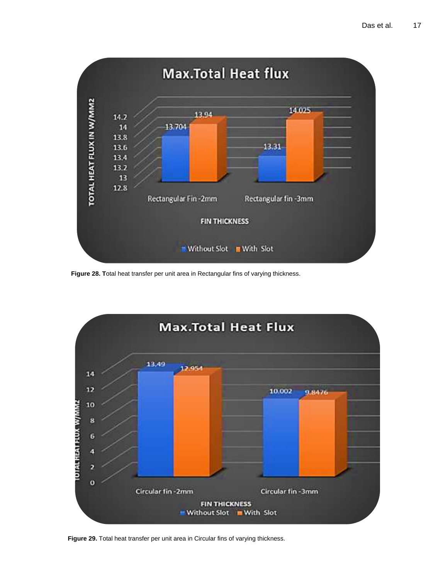

**Figure 28. T**otal heat transfer per unit area in Rectangular fins of varying thickness.<br>**Figure 28. T**otal heat transfer per unit area in Rectangular fins of varying thickness.



**Figure 29.** Total heat transfer per unit area in Circular fins of varying thickness.